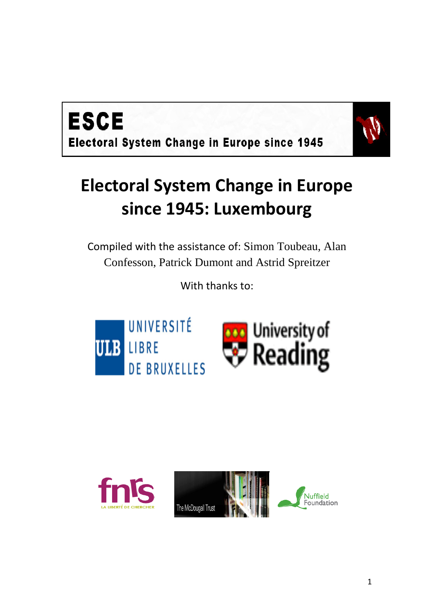



# **Electoral System Change in Europe since 1945: Luxembourg**

Compiled with the assistance of: Simon Toubeau, Alan Confesson, Patrick Dumont and Astrid Spreitzer

With thanks to:



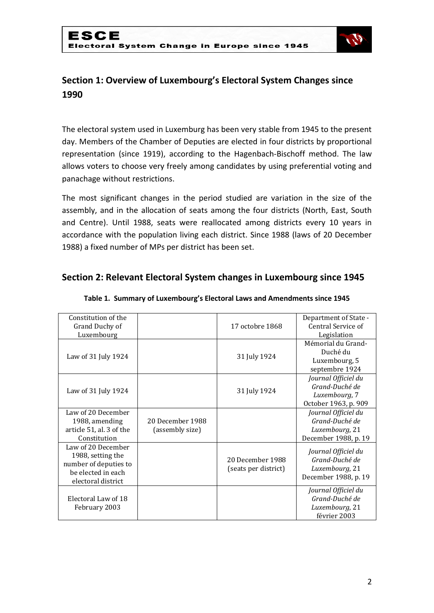

# **Section 1: Overview of Luxembourg's Electoral System Changes since 1990**

The electoral system used in Luxemburg has been very stable from 1945 to the present day. Members of the Chamber of Deputies are elected in four districts by proportional representation (since 1919), according to the Hagenbach-Bischoff method. The law allows voters to choose very freely among candidates by using preferential voting and panachage without restrictions.

The most significant changes in the period studied are variation in the size of the assembly, and in the allocation of seats among the four districts (North, East, South and Centre). Until 1988, seats were reallocated among districts every 10 years in accordance with the population living each district. Since 1988 (laws of 20 December 1988) a fixed number of MPs per district has been set.

# **Section 2: Relevant Electoral System changes in Luxembourg since 1945**

| Constitution of the<br>Grand Duchy of<br>Luxembourg                                                          |                                     | 17 octobre 1868                          | Department of State -<br>Central Service of<br>Legislation                      |
|--------------------------------------------------------------------------------------------------------------|-------------------------------------|------------------------------------------|---------------------------------------------------------------------------------|
| Law of 31 July 1924                                                                                          |                                     | 31 July 1924                             | Mémorial du Grand-<br>Duché du<br>Luxembourg, 5<br>septembre 1924               |
| Law of 31 July 1924                                                                                          |                                     | 31 July 1924                             | Journal Officiel du<br>Grand-Duché de<br>Luxembourg, 7<br>October 1963, p. 909  |
| Law of 20 December<br>1988, amending<br>article 51, al. 3 of the<br>Constitution                             | 20 December 1988<br>(assembly size) |                                          | Journal Officiel du<br>Grand-Duché de<br>Luxembourg, 21<br>December 1988, p. 19 |
| Law of 20 December<br>1988, setting the<br>number of deputies to<br>be elected in each<br>electoral district |                                     | 20 December 1988<br>(seats per district) | Journal Officiel du<br>Grand-Duché de<br>Luxembourg, 21<br>December 1988, p. 19 |
| Electoral Law of 18<br>February 2003                                                                         |                                     |                                          | Journal Officiel du<br>Grand-Duché de<br>Luxembourg, 21<br>février 2003         |

**Table 1. Summary of Luxembourg's Electoral Laws and Amendments since 1945**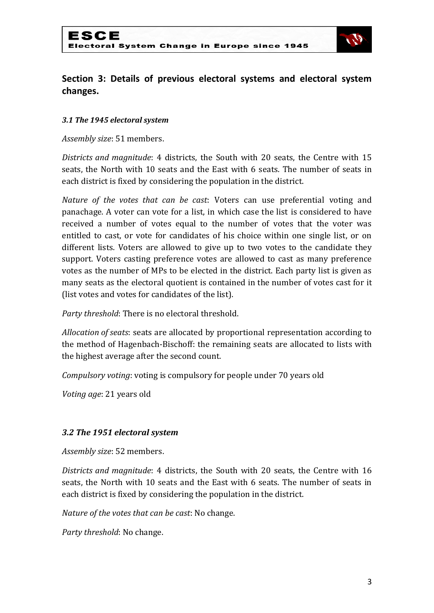

# **Section 3: Details of previous electoral systems and electoral system changes.**

# *3.1 The 1945 electoral system*

*Assembly size*: 51 members.

*Districts and magnitude*: 4 districts, the South with 20 seats, the Centre with 15 seats, the North with 10 seats and the East with 6 seats. The number of seats in each district is fixed by considering the population in the district.

*Nature of the votes that can be cast*: Voters can use preferential voting and panachage. A voter can vote for a list, in which case the list is considered to have received a number of votes equal to the number of votes that the voter was entitled to cast, or vote for candidates of his choice within one single list, or on different lists. Voters are allowed to give up to two votes to the candidate they support. Voters casting preference votes are allowed to cast as many preference votes as the number of MPs to be elected in the district. Each party list is given as many seats as the electoral quotient is contained in the number of votes cast for it (list votes and votes for candidates of the list).

*Party threshold*: There is no electoral threshold.

*Allocation of seats*: seats are allocated by proportional representation according to the method of Hagenbach-Bischoff: the remaining seats are allocated to lists with the highest average after the second count.

*Compulsory voting*: voting is compulsory for people under 70 years old

*Voting age*: 21 years old

# *3.2 The 1951 electoral system*

*Assembly size*: 52 members.

*Districts and magnitude*: 4 districts, the South with 20 seats, the Centre with 16 seats, the North with 10 seats and the East with 6 seats. The number of seats in each district is fixed by considering the population in the district.

*Nature of the votes that can be cast*: No change.

*Party threshold*: No change.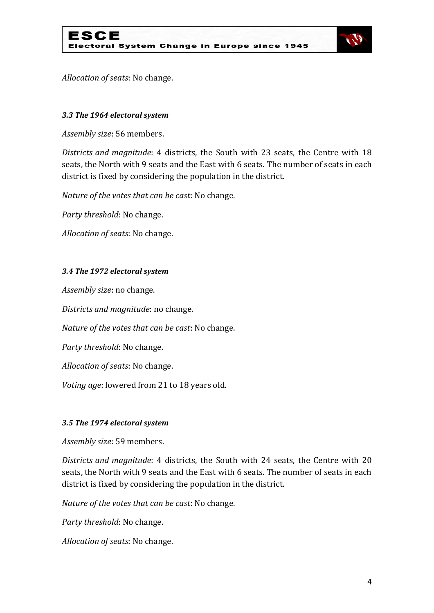

*Allocation of seats*: No change.

# *3.3 The 1964 electoral system*

*Assembly size*: 56 members.

*Districts and magnitude*: 4 districts, the South with 23 seats, the Centre with 18 seats, the North with 9 seats and the East with 6 seats. The number of seats in each district is fixed by considering the population in the district.

*Nature of the votes that can be cast*: No change.

*Party threshold*: No change.

*Allocation of seats*: No change.

## *3.4 The 1972 electoral system*

*Assembly size*: no change.

*Districts and magnitude*: no change.

*Nature of the votes that can be cast*: No change.

*Party threshold*: No change.

*Allocation of seats*: No change.

*Voting age*: lowered from 21 to 18 years old.

#### *3.5 The 1974 electoral system*

*Assembly size*: 59 members.

*Districts and magnitude*: 4 districts, the South with 24 seats, the Centre with 20 seats, the North with 9 seats and the East with 6 seats. The number of seats in each district is fixed by considering the population in the district.

*Nature of the votes that can be cast*: No change.

*Party threshold*: No change.

*Allocation of seats*: No change.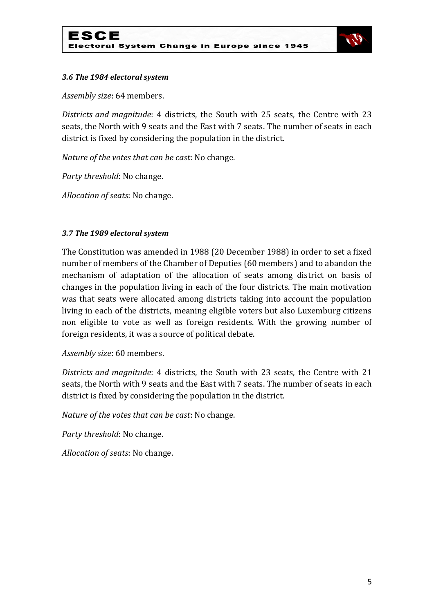

# *3.6 The 1984 electoral system*

*Assembly size*: 64 members.

*Districts and magnitude*: 4 districts, the South with 25 seats, the Centre with 23 seats, the North with 9 seats and the East with 7 seats. The number of seats in each district is fixed by considering the population in the district.

*Nature of the votes that can be cast*: No change.

*Party threshold*: No change.

*Allocation of seats*: No change.

## *3.7 The 1989 electoral system*

The Constitution was amended in 1988 (20 December 1988) in order to set a fixed number of members of the Chamber of Deputies (60 members) and to abandon the mechanism of adaptation of the allocation of seats among district on basis of changes in the population living in each of the four districts. The main motivation was that seats were allocated among districts taking into account the population living in each of the districts, meaning eligible voters but also Luxemburg citizens non eligible to vote as well as foreign residents. With the growing number of foreign residents, it was a source of political debate.

*Assembly size*: 60 members.

*Districts and magnitude*: 4 districts, the South with 23 seats, the Centre with 21 seats, the North with 9 seats and the East with 7 seats. The number of seats in each district is fixed by considering the population in the district.

*Nature of the votes that can be cast*: No change.

*Party threshold*: No change.

*Allocation of seats*: No change.